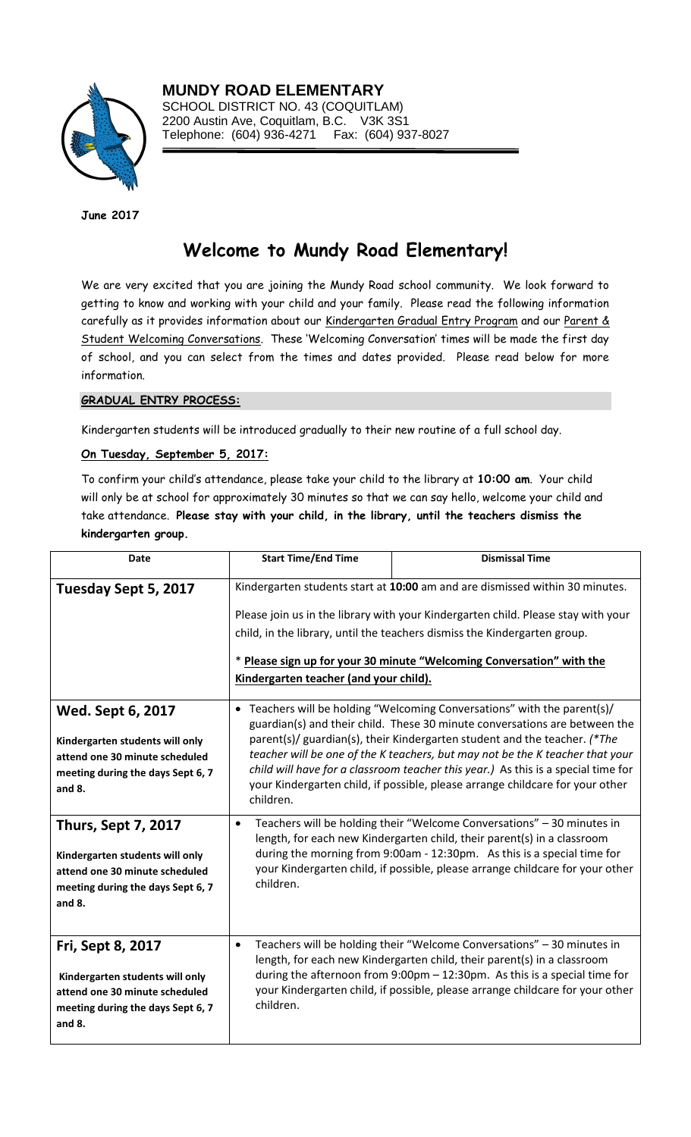

**MUNDY ROAD ELEMENTARY** SCHOOL DISTRICT NO. 43 (COQUITLAM) 2200 Austin Ave, Coquitlam, B.C. V3K 3S1 Telephone: (604) 936-4271 Fax: (604) 937-8027

**June 2017**

# **Welcome to Mundy Road Elementary!**

We are very excited that you are joining the Mundy Road school community. We look forward to getting to know and working with your child and your family. Please read the following information carefully as it provides information about our Kindergarten Gradual Entry Program and our Parent & Student Welcoming Conversations. These 'Welcoming Conversation' times will be made the first day of school, and you can select from the times and dates provided. Please read below for more information.

#### **GRADUAL ENTRY PROCESS:**

Kindergarten students will be introduced gradually to their new routine of a full school day.

## **On Tuesday, September 5, 2017:**

To confirm your child's attendance, please take your child to the library at **10:00 am**. Your child will only be at school for approximately 30 minutes so that we can say hello, welcome your child and take attendance. **Please stay with your child, in the library, until the teachers dismiss the kindergarten group.**

| Date                                                                                                                                           | <b>Start Time/End Time</b>                                                                                                                                                                                                                                                                                                                                                                                                                                                                              | <b>Dismissal Time</b>                                                                                                                                                                                                                                                                                           |
|------------------------------------------------------------------------------------------------------------------------------------------------|---------------------------------------------------------------------------------------------------------------------------------------------------------------------------------------------------------------------------------------------------------------------------------------------------------------------------------------------------------------------------------------------------------------------------------------------------------------------------------------------------------|-----------------------------------------------------------------------------------------------------------------------------------------------------------------------------------------------------------------------------------------------------------------------------------------------------------------|
| Tuesday Sept 5, 2017                                                                                                                           | Kindergarten students start at 10:00 am and are dismissed within 30 minutes.<br>Please join us in the library with your Kindergarten child. Please stay with your<br>child, in the library, until the teachers dismiss the Kindergarten group.<br>* Please sign up for your 30 minute "Welcoming Conversation" with the<br>Kindergarten teacher (and your child).                                                                                                                                       |                                                                                                                                                                                                                                                                                                                 |
| <b>Wed. Sept 6, 2017</b><br>Kindergarten students will only<br>attend one 30 minute scheduled<br>meeting during the days Sept 6, 7<br>and 8.   | • Teachers will be holding "Welcoming Conversations" with the parent(s)/<br>guardian(s) and their child. These 30 minute conversations are between the<br>parent(s)/ guardian(s), their Kindergarten student and the teacher. (*The<br>teacher will be one of the K teachers, but may not be the K teacher that your<br>child will have for a classroom teacher this year.) As this is a special time for<br>your Kindergarten child, if possible, please arrange childcare for your other<br>children. |                                                                                                                                                                                                                                                                                                                 |
| <b>Thurs, Sept 7, 2017</b><br>Kindergarten students will only<br>attend one 30 minute scheduled<br>meeting during the days Sept 6, 7<br>and 8. | $\bullet$<br>children.                                                                                                                                                                                                                                                                                                                                                                                                                                                                                  | Teachers will be holding their "Welcome Conversations" - 30 minutes in<br>length, for each new Kindergarten child, their parent(s) in a classroom<br>during the morning from 9:00am - 12:30pm. As this is a special time for<br>your Kindergarten child, if possible, please arrange childcare for your other   |
| Fri, Sept 8, 2017<br>Kindergarten students will only<br>attend one 30 minute scheduled<br>meeting during the days Sept 6, 7<br>and 8.          | $\bullet$<br>children.                                                                                                                                                                                                                                                                                                                                                                                                                                                                                  | Teachers will be holding their "Welcome Conversations" - 30 minutes in<br>length, for each new Kindergarten child, their parent(s) in a classroom<br>during the afternoon from 9:00pm - 12:30pm. As this is a special time for<br>your Kindergarten child, if possible, please arrange childcare for your other |